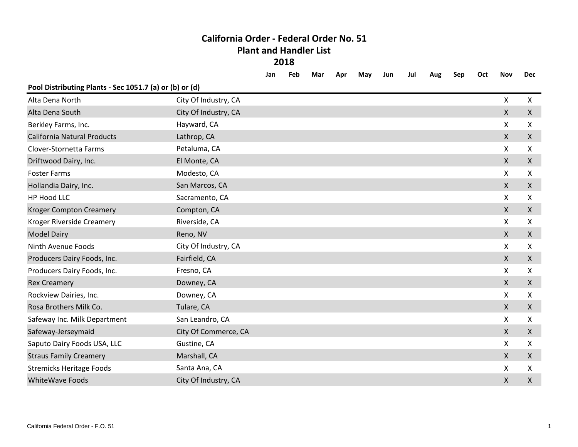## **California Order - Federal Order No. 51 Plant and Handler List 2018**

|                                                         |                      | Jan | Feb | Mar | Apr | May | Jun | Jul | Aug | Sep | Oct | Nov          | <b>Dec</b>         |
|---------------------------------------------------------|----------------------|-----|-----|-----|-----|-----|-----|-----|-----|-----|-----|--------------|--------------------|
| Pool Distributing Plants - Sec 1051.7 (a) or (b) or (d) |                      |     |     |     |     |     |     |     |     |     |     |              |                    |
| Alta Dena North                                         | City Of Industry, CA |     |     |     |     |     |     |     |     |     |     | X            | X                  |
| Alta Dena South                                         | City Of Industry, CA |     |     |     |     |     |     |     |     |     |     | $\mathsf{X}$ | $\pmb{\mathsf{X}}$ |
| Berkley Farms, Inc.                                     | Hayward, CA          |     |     |     |     |     |     |     |     |     |     | X            | X                  |
| <b>California Natural Products</b>                      | Lathrop, CA          |     |     |     |     |     |     |     |     |     |     | $\mathsf{X}$ | $\mathsf{X}$       |
| Clover-Stornetta Farms                                  | Petaluma, CA         |     |     |     |     |     |     |     |     |     |     | X            | X                  |
| Driftwood Dairy, Inc.                                   | El Monte, CA         |     |     |     |     |     |     |     |     |     |     | $\mathsf{X}$ | $\mathsf{X}$       |
| <b>Foster Farms</b>                                     | Modesto, CA          |     |     |     |     |     |     |     |     |     |     | Χ            | $\mathsf{X}$       |
| Hollandia Dairy, Inc.                                   | San Marcos, CA       |     |     |     |     |     |     |     |     |     |     | $\mathsf{X}$ | $\mathsf{X}$       |
| <b>HP Hood LLC</b>                                      | Sacramento, CA       |     |     |     |     |     |     |     |     |     |     | X            | X                  |
| <b>Kroger Compton Creamery</b>                          | Compton, CA          |     |     |     |     |     |     |     |     |     |     | $\mathsf{X}$ | $\mathsf{X}$       |
| Kroger Riverside Creamery                               | Riverside, CA        |     |     |     |     |     |     |     |     |     |     | X            | X                  |
| <b>Model Dairy</b>                                      | Reno, NV             |     |     |     |     |     |     |     |     |     |     | $\mathsf{X}$ | X                  |
| Ninth Avenue Foods                                      | City Of Industry, CA |     |     |     |     |     |     |     |     |     |     | X            | X                  |
| Producers Dairy Foods, Inc.                             | Fairfield, CA        |     |     |     |     |     |     |     |     |     |     | X            | $\mathsf{X}$       |
| Producers Dairy Foods, Inc.                             | Fresno, CA           |     |     |     |     |     |     |     |     |     |     | X            | X                  |
| <b>Rex Creamery</b>                                     | Downey, CA           |     |     |     |     |     |     |     |     |     |     | $\mathsf{X}$ | $\mathsf{X}$       |
| Rockview Dairies, Inc.                                  | Downey, CA           |     |     |     |     |     |     |     |     |     |     | X            | X                  |
| Rosa Brothers Milk Co.                                  | Tulare, CA           |     |     |     |     |     |     |     |     |     |     | $\mathsf{X}$ | $\mathsf{X}$       |
| Safeway Inc. Milk Department                            | San Leandro, CA      |     |     |     |     |     |     |     |     |     |     | X            | X                  |
| Safeway-Jerseymaid                                      | City Of Commerce, CA |     |     |     |     |     |     |     |     |     |     | $\mathsf{X}$ | $\mathsf{X}$       |
| Saputo Dairy Foods USA, LLC                             | Gustine, CA          |     |     |     |     |     |     |     |     |     |     | X            | X                  |
| <b>Straus Family Creamery</b>                           | Marshall, CA         |     |     |     |     |     |     |     |     |     |     | $\mathsf{X}$ | $\mathsf{X}$       |
| <b>Stremicks Heritage Foods</b>                         | Santa Ana, CA        |     |     |     |     |     |     |     |     |     |     | X            | X                  |
| <b>WhiteWave Foods</b>                                  | City Of Industry, CA |     |     |     |     |     |     |     |     |     |     | X            | X                  |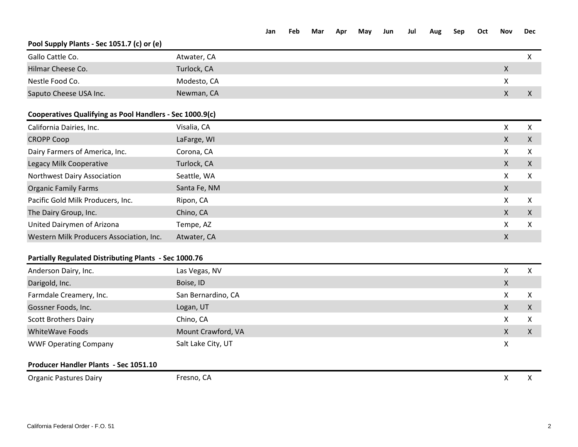|                                                              |                    | Jan | Feb | Mar | Apr | May | Jun | Jul | Aug | Sep | Oct | <b>Nov</b>       | <b>Dec</b>   |
|--------------------------------------------------------------|--------------------|-----|-----|-----|-----|-----|-----|-----|-----|-----|-----|------------------|--------------|
| Pool Supply Plants - Sec 1051.7 (c) or (e)                   |                    |     |     |     |     |     |     |     |     |     |     |                  |              |
| Gallo Cattle Co.                                             | Atwater, CA        |     |     |     |     |     |     |     |     |     |     |                  | $\mathsf{X}$ |
| Hilmar Cheese Co.                                            | Turlock, CA        |     |     |     |     |     |     |     |     |     |     | $\mathsf{X}$     |              |
| Nestle Food Co.                                              | Modesto, CA        |     |     |     |     |     |     |     |     |     |     | X                |              |
| Saputo Cheese USA Inc.                                       | Newman, CA         |     |     |     |     |     |     |     |     |     |     | $\boldsymbol{X}$ | $\mathsf{X}$ |
| Cooperatives Qualifying as Pool Handlers - Sec 1000.9(c)     |                    |     |     |     |     |     |     |     |     |     |     |                  |              |
| California Dairies, Inc.                                     | Visalia, CA        |     |     |     |     |     |     |     |     |     |     | $\mathsf{X}$     | X            |
| <b>CROPP Coop</b>                                            | LaFarge, WI        |     |     |     |     |     |     |     |     |     |     | $\mathsf{X}$     | $\mathsf{X}$ |
| Dairy Farmers of America, Inc.                               | Corona, CA         |     |     |     |     |     |     |     |     |     |     | X                | X            |
| Legacy Milk Cooperative                                      | Turlock, CA        |     |     |     |     |     |     |     |     |     |     | $\mathsf{X}$     | $\mathsf{X}$ |
| Northwest Dairy Association                                  | Seattle, WA        |     |     |     |     |     |     |     |     |     |     | X                | X            |
| <b>Organic Family Farms</b>                                  | Santa Fe, NM       |     |     |     |     |     |     |     |     |     |     | $\mathsf{X}$     |              |
| Pacific Gold Milk Producers, Inc.                            | Ripon, CA          |     |     |     |     |     |     |     |     |     |     | X                | X            |
| The Dairy Group, Inc.                                        | Chino, CA          |     |     |     |     |     |     |     |     |     |     | $\mathsf{X}$     | $\mathsf{X}$ |
| United Dairymen of Arizona                                   | Tempe, AZ          |     |     |     |     |     |     |     |     |     |     | X                | X            |
| Western Milk Producers Association, Inc.                     | Atwater, CA        |     |     |     |     |     |     |     |     |     |     | $\mathsf{X}$     |              |
| <b>Partially Regulated Distributing Plants - Sec 1000.76</b> |                    |     |     |     |     |     |     |     |     |     |     |                  |              |
| Anderson Dairy, Inc.                                         | Las Vegas, NV      |     |     |     |     |     |     |     |     |     |     | $\mathsf{X}$     | $\mathsf{X}$ |
| Darigold, Inc.                                               | Boise, ID          |     |     |     |     |     |     |     |     |     |     | $\mathsf{X}$     |              |
| Farmdale Creamery, Inc.                                      | San Bernardino, CA |     |     |     |     |     |     |     |     |     |     | X                | $\mathsf{X}$ |
| Gossner Foods, Inc.                                          | Logan, UT          |     |     |     |     |     |     |     |     |     |     | $\mathsf{X}$     | $\mathsf{X}$ |
| <b>Scott Brothers Dairy</b>                                  | Chino, CA          |     |     |     |     |     |     |     |     |     |     | X                | X            |
| <b>WhiteWave Foods</b>                                       | Mount Crawford, VA |     |     |     |     |     |     |     |     |     |     | X                | X            |

Organic Pastures Dairy **Example 20** Section CA Contract Contract Contract Contract Contract Contract Contract Contract Contract Contract Contract Contract Contract Contract Contract Contract Contract Contract Contract Cont

Salt Lake City, UT X

## California Federal Order - F.O. 51 2

WWF Operating Company

**Producer Handler Plants - Sec 1051.10**